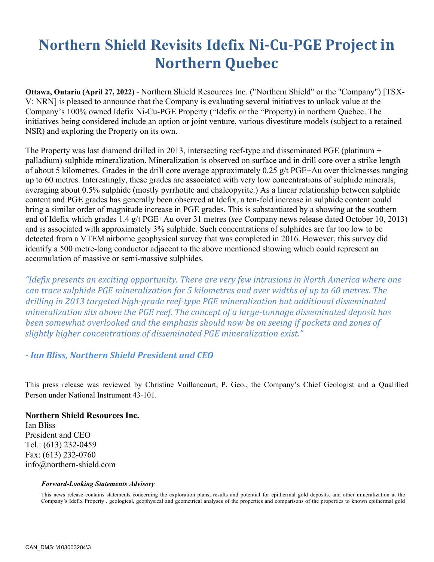## **Northern Shield Revisits Idefix Ni-Cu-PGE Project in Northern Quebec**

**Ottawa, Ontario (April 27, 2022)** - Northern Shield Resources Inc. ("Northern Shield" or the "Company") [TSX-V: NRN] is pleased to announce that the Company is evaluating several initiatives to unlock value at the Company's 100% owned Idefix Ni-Cu-PGE Property ("Idefix or the "Property) in northern Quebec. The initiatives being considered include an option or joint venture, various divestiture models (subject to a retained NSR) and exploring the Property on its own.

The Property was last diamond drilled in 2013, intersecting reef-type and disseminated PGE (platinum + palladium) sulphide mineralization. Mineralization is observed on surface and in drill core over a strike length of about 5 kilometres. Grades in the drill core average approximately 0.25 g/t PGE+Au over thicknesses ranging up to 60 metres. Interestingly, these grades are associated with very low concentrations of sulphide minerals, averaging about 0.5% sulphide (mostly pyrrhotite and chalcopyrite.) As a linear relationship between sulphide content and PGE grades has generally been observed at Idefix, a ten-fold increase in sulphide content could bring a similar order of magnitude increase in PGE grades. This is substantiated by a showing at the southern end of Idefix which grades 1.4 g/t PGE+Au over 31 metres (*see* Company news release dated October 10, 2013) and is associated with approximately 3% sulphide. Such concentrations of sulphides are far too low to be detected from a VTEM airborne geophysical survey that was completed in 2016. However, this survey did identify a 500 metre-long conductor adjacent to the above mentioned showing which could represent an accumulation of massive or semi-massive sulphides.

*"Idefix presents an exciting opportunity. There are very few intrusions in North America where one can trace sulphide PGE mineralization for 5 kilometres and over widths of up to 60 metres. The* drilling in 2013 targeted high-grade reef-type PGE mineralization but additional disseminated *mineralization sits above the PGE reef. The concept of a large-tonnage disseminated deposit has been somewhat overlooked and the emphasis should now be on seeing if pockets and zones of* slightly higher concentrations of disseminated PGE mineralization exist."

## *- Ian Bliss, Northern Shield President and CEO*

This press release was reviewed by Christine Vaillancourt, P. Geo., the Company's Chief Geologist and a Qualified Person under National Instrument 43-101.

## **Northern Shield Resources Inc.**

Ian Bliss President and CEO Tel.: (613) 232-0459 Fax: (613) 232-0760 info@northern-shield.com

## *Forward-Looking Statements Advisory*

This news release contains statements concerning the exploration plans, results and potential for epithermal gold deposits, and other mineralization at the Company's Idefix Property , geological, geophysical and geometrical analyses of the properties and comparisons of the properties to known epithermal gold